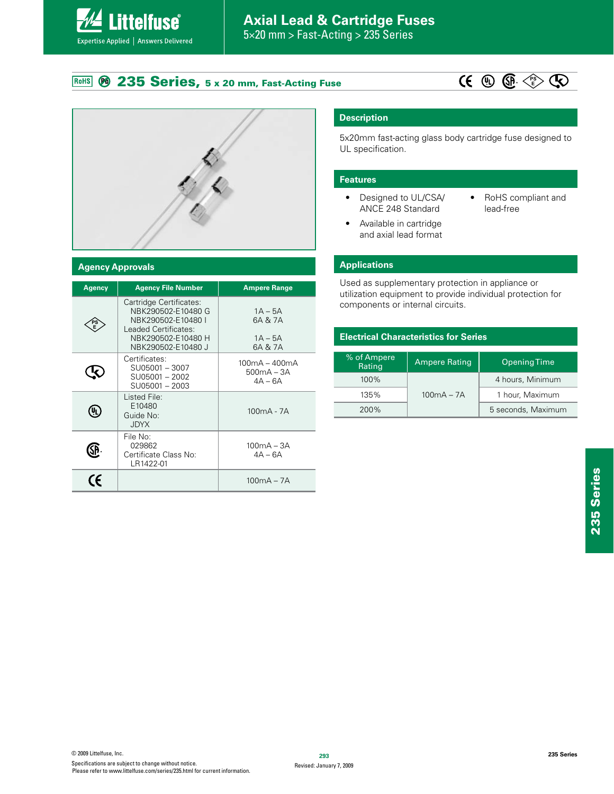# **Axial Lead & Cartridge Fuses**

5×20 mm > Fast-Acting > 235 Series

### **235 Series, 5 x 20 mm, Fast-Acting Fuse** RoHS

**Littelfuse**®

Expertise Applied | Answers Delivered





## **Agency Approvals**

| Agency                                                   | <b>Agency File Number</b>                                                                                                               | <b>Ampere Range</b>                          |
|----------------------------------------------------------|-----------------------------------------------------------------------------------------------------------------------------------------|----------------------------------------------|
|                                                          | Cartridge Certificates:<br>NBK290502-E10480 G<br>NBK290502-E10480  <br>Leaded Certificates:<br>NBK290502-E10480 H<br>NBK290502-E10480 J | $1A - 5A$<br>6A & 7A<br>$1A - 5A$<br>6A & 7A |
|                                                          | Certificates:<br>SU05001 - 3007<br>SU05001-2002<br>SU05001-2003                                                                         | $100mA - 400mA$<br>500mA – 3A<br>$4A - 6A$   |
| ŲĮ                                                       | Listed File:<br>E10480<br>Guide No:<br><b>JDYX</b>                                                                                      | $100mA - 7A$                                 |
| File No:<br>029862<br>Certificate Class No:<br>LR1422-01 |                                                                                                                                         | $100mA - 3A$<br>$4A - 6A$                    |
| (E                                                       |                                                                                                                                         | $100mA - 7A$                                 |

# **Description**

5x20mm fast-acting glass body cartridge fuse designed to UL specification.

## **Features**

- Designed to UL/CSA/ ANCE 248 Standard
- RoHS compliant and lead-free
- Available in cartridge and axial lead format

# **Applications**

Used as supplementary protection in appliance or utilization equipment to provide individual protection for components or internal circuits.

# **Electrical Characteristics for Series**

| % of Ampere<br>Rating | Ampere Rating    | <b>Opening Time</b> |  |
|-----------------------|------------------|---------------------|--|
| $100\%$               | 4 hours, Minimum |                     |  |
| 135%                  | $100mA - 7A$     | 1 hour, Maximum     |  |
| 200%                  |                  | 5 seconds, Maximum  |  |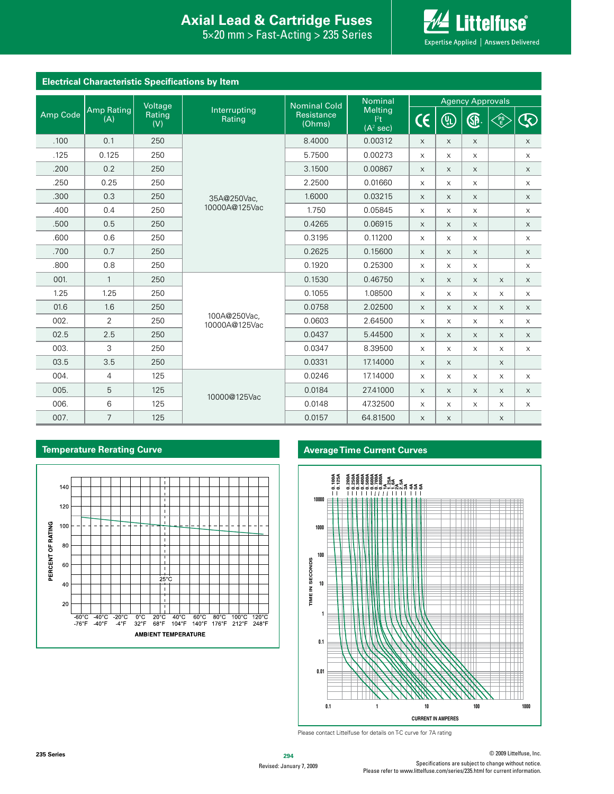# **Interproduction Interacts Axial Lead & Cartridge Fuses**

 $5\times20$  mm > Fast-Acting > 235 Series



| <b>Electrical Characteristic Specifications by Item</b> |                   |               |                               |                      |                                                                       |                         |                                                          |          |                 |                                                                                                         |
|---------------------------------------------------------|-------------------|---------------|-------------------------------|----------------------|-----------------------------------------------------------------------|-------------------------|----------------------------------------------------------|----------|-----------------|---------------------------------------------------------------------------------------------------------|
|                                                         |                   | Voltage       |                               | <b>Nominal Cold</b>  | <b>Nominal</b><br><b>Melting</b><br>$ ^{2}t $<br>(A <sup>2</sup> sec) | <b>Agency Approvals</b> |                                                          |          |                 |                                                                                                         |
| Amp Code                                                | Amp Rating<br>(A) | Rating<br>(V) | Interrupting<br>Rating        | Resistance<br>(Ohms) |                                                                       | $\mathsf{C}\mathsf{C}$  | $\left(\begin{smallmatrix} 0\ 0\end{smallmatrix}\right)$ | <b>A</b> | <b>PS</b><br>VE | $\mathfrak{D}% _{T}=\mathfrak{D}_{T}\!\left( a,b\right) ,\ \mathfrak{D}_{T}=C_{T}\!\left( a,b\right) ,$ |
| .100                                                    | 0.1               | 250           |                               | 8.4000               | 0.00312                                                               | $\times$                | $\times$                                                 | $\times$ |                 | $\mathsf X$                                                                                             |
| .125                                                    | 0.125             | 250           |                               | 5.7500               | 0.00273                                                               | $\times$                | $\times$                                                 | $\times$ |                 | X                                                                                                       |
| .200                                                    | 0.2               | 250           |                               | 3.1500               | 0.00867                                                               | $\times$                | $\times$                                                 | $\times$ |                 | $\mathsf X$                                                                                             |
| .250                                                    | 0.25              | 250           |                               | 2.2500               | 0.01660                                                               | X                       | $\times$                                                 | $\times$ |                 | X                                                                                                       |
| .300                                                    | 0.3               | 250           | 35A@250Vac,                   | 1.6000               | 0.03215                                                               | $\times$                | $\times$                                                 | $\times$ |                 | $\times$                                                                                                |
| .400                                                    | 0.4               | 250           | 10000A@125Vac                 | 1.750                | 0.05845                                                               | X                       | $\times$                                                 | $\times$ |                 | X                                                                                                       |
| .500                                                    | 0.5               | 250           |                               | 0.4265               | 0.06915                                                               | $\times$                | $\times$                                                 | $\times$ |                 | $\mathsf X$                                                                                             |
| .600                                                    | 0.6               | 250           |                               | 0.3195               | 0.11200                                                               | X                       | $\times$                                                 | $\times$ |                 | $\times$                                                                                                |
| .700                                                    | 0.7               | 250           |                               | 0.2625               | 0.15600                                                               | $\times$                | $\times$                                                 | $\times$ |                 | $\times$                                                                                                |
| .800                                                    | 0.8               | 250           |                               | 0.1920               | 0.25300                                                               | X                       | $\times$                                                 | X        |                 | X                                                                                                       |
| 001.                                                    | $\mathbf{1}$      | 250           |                               | 0.1530               | 0.46750                                                               | $\times$                | $\times$                                                 | X        | $\times$        | $\times$                                                                                                |
| 1.25                                                    | 1.25              | 250           |                               | 0.1055               | 1.08500                                                               | $\mathsf X$             | $\times$                                                 | X        | $\mathsf X$     | X                                                                                                       |
| 01.6                                                    | 1.6               | 250           |                               | 0.0758               | 2.02500                                                               | $\mathsf X$             | $\times$                                                 | X        | $\mathsf X$     | $\mathsf X$                                                                                             |
| 002.                                                    | $\overline{2}$    | 250           | 100A@250Vac,<br>10000A@125Vac | 0.0603               | 2.64500                                                               | X                       | $\times$                                                 | X        | $\times$        | X                                                                                                       |
| 02.5                                                    | 2.5               | 250           |                               | 0.0437               | 5.44500                                                               | $\mathsf{X}$            | $\mathsf X$                                              | X        | $\mathsf X$     | X                                                                                                       |
| 003.                                                    | 3                 | 250           |                               | 0.0347               | 8.39500                                                               | $\mathsf X$             | X                                                        | X        | $\times$        | X                                                                                                       |
| 03.5                                                    | 3.5               | 250           |                               | 0.0331               | 17.14000                                                              | $\times$                | $\times$                                                 |          | $\times$        |                                                                                                         |
| 004.                                                    | 4                 | 125           |                               | 0.0246               | 17.14000                                                              | X                       | $\mathsf X$                                              | X        | X               | $\times$                                                                                                |
| 005.                                                    | 5                 | 125           | 10000@125Vac                  | 0.0184               | 27.41000                                                              | X                       | $\times$                                                 | $\times$ | X               | $\times$                                                                                                |
| 006.                                                    | 6                 | 125           |                               | 0.0148               | 47.32500                                                              | X                       | X                                                        | X        | X               | X                                                                                                       |
| 007.                                                    | $\overline{7}$    | 125           |                               | 0.0157               | 64.81500                                                              | $\mathsf{X}$            | $\times$                                                 |          | $\mathsf X$     |                                                                                                         |



# **Temperature Rerating Curve Average Time Current Curves**



Please contact Littelfuse for details on T-C curve for 7A rating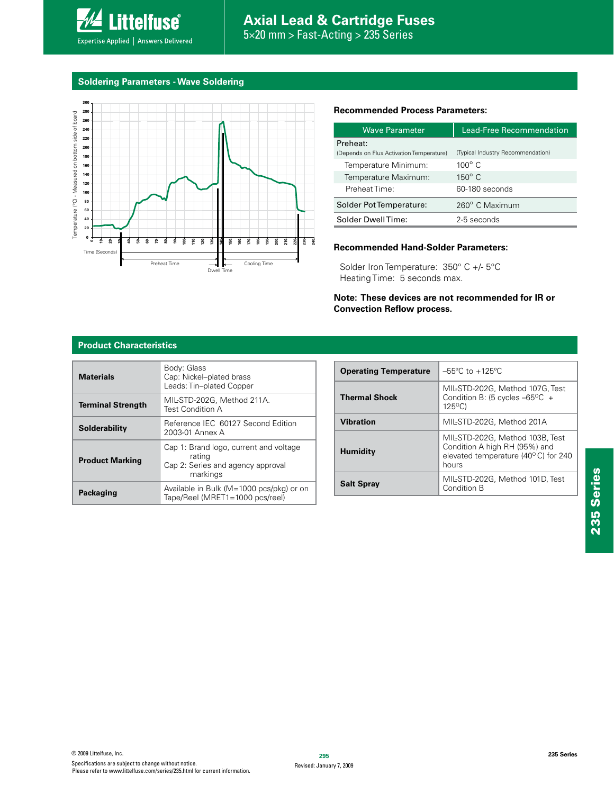

**Soldering Parameters - Wave Soldering**

**Littelfuse**®

Expertise Applied | Answers Delivered



# **Recommended Process Parameters:**

| <b>Wave Parameter</b>                    | Lead-Free Recommendation          |  |  |
|------------------------------------------|-----------------------------------|--|--|
| Preheat:                                 |                                   |  |  |
| (Depends on Flux Activation Temperature) | (Typical Industry Recommendation) |  |  |
| Temperature Minimum:                     | $100^{\circ}$ C                   |  |  |
| Temperature Maximum:                     | $150^\circ$ C                     |  |  |
| Preheat Time:                            | 60-180 seconds                    |  |  |
| Solder Pot Temperature:                  | 260° C Maximum                    |  |  |
| Solder DwellTime:                        | 2-5 seconds                       |  |  |

# **Recommended Hand-Solder Parameters:**

Solder Iron Temperature: 350° C +/- 5°C Heating Time: 5 seconds max.

**Note: These devices are not recommended for IR or Convection Reflow process.**

## **Product Characteristics**

| <b>Materials</b>         | Body: Glass<br>Cap: Nickel-plated brass<br>Leads: Tin-plated Copper                               |  |  |
|--------------------------|---------------------------------------------------------------------------------------------------|--|--|
| <b>Terminal Strength</b> | MIL-STD-202G. Method 211A.<br>Test Condition A                                                    |  |  |
| <b>Solderability</b>     | Reference IEC 60127 Second Edition<br>2003-01 Annex A                                             |  |  |
| <b>Product Marking</b>   | Cap 1: Brand logo, current and voltage<br>rating<br>Cap 2: Series and agency approval<br>markings |  |  |
| Packaging                | Available in Bulk (M=1000 pcs/pkg) or on<br>Tape/Reel (MRET1=1000 pcs/reel)                       |  |  |

| <b>Operating Temperature</b> | $-55^{\circ}$ C to $+125^{\circ}$ C                                                                              |  |  |
|------------------------------|------------------------------------------------------------------------------------------------------------------|--|--|
| <b>Thermal Shock</b>         | MIL-STD-202G, Method 107G, Test<br>Condition B: (5 cycles $-65^{\circ}$ C +<br>$125^{\circ}$ C)                  |  |  |
| <b>Vibration</b>             | MIL-STD-202G. Method 201A                                                                                        |  |  |
| <b>Humidity</b>              | MIL-STD-202G. Method 103B. Test<br>Condition A high RH (95%) and<br>elevated temperature (40°C) for 240<br>hours |  |  |
| <b>Salt Spray</b>            | MIL-STD-202G, Method 101D, Test<br>Condition B                                                                   |  |  |